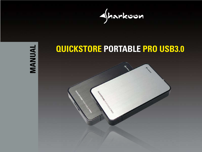



# **QUICKSTORE PORTABLE PRO USB3.0**

Contractor Re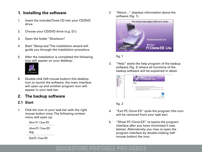### **1. Installing the software**

- 1. Insert the included Tools CD into your CD/DVD drive.
- 2. Choose your CD/DVD drive (e.g. D:\).
- 3. Open the folder "Sharkoon".
- 4. Start "Setup.exe". The installation wizard will guide you through the installation procedure.
- 5. After the installation is completed the following icon will appear on your desktop:



6. Double-click (left mouse button) this desktop icon to launch the software, the main interface will open up and another program icon will appear in your task bar.

### **2. The backup software**

#### **2.1 Start**

1. Click the icon in your task bar with the right mouse button once. The following context menu will open up:

Show PC Clone EX

About PC Clone EX Help

Exit PC Clone EX

2. "About…" displays information about the software (fig. 1).



fig. 1

3. "Help" starts the help program of the backup software (fig. 2) where all functions of the backup software will be explained in detail.

|  | <b>PCClone EX Lite</b>             |
|--|------------------------------------|
|  | Notice<br><b>Saltia is lasted.</b> |
|  |                                    |
|  |                                    |

fig. 2

- 4. "Exit PC Clone EX" quits the program (the icon will be removed from your task bar).
- 5. "Show PC Clone EX" re-opens the program interface after you have minimized it (see below). Alternatively you may re-open the program interface by double-clicking (left mouse button) the icon.

## **CKSTORE PORTABLE PRO**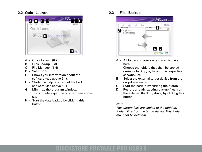#### **2.2 Quick Launch**



- A Quick Launch (6.2)
- B Files Backup (6.3)
- C File Manager (6.4)
- D Setup (6.5)
- E Shows you information about the software (see above 6.1).
- F Starts the help program of the backup software (see above 6.1)
- G Minimize the program window. To completely quit the program see above 6.1.
- H Start the data backup by clicking this button.

**2.3 Files Backup**



 A – All folders of your system are displayed here.

 Choose the folders that shall be copied during a backup, by ticking the respective checkbox(es).

- B Select the external target device from the dropdown menu.
- C Start the backup by clicking the button.
- D Restore already existing backup files from the external (backup) drive, by clicking this button.

#### Note:

 The backup files are copied to the (hidden) folder "Fnet" on the target device. This folder must not be deleted!

# **CKSTORE PORTABLE PRO I**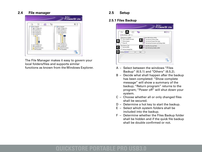#### **2.4 File manager**



 The File Manager makes it easy to govern your local folders/files and supports similar functions as known from the Windows Explorer.

#### **2.5 Setup**

#### **2.5.1 Files Backup**



- A Select between the windows "Files Backup" (6.5.1) and "Others" (6.5.2).
- B Decide what shall happen after the backup has been completed: "Show complete message" will show a summary of the backup; "Return program" returns to the program; "Power off" will shut down your system.
- C Choose whether all or only changed files shall be secured.
- D Determine a hot key to start the backup.
- E Select which system folders shall be included into the backup.
- F Determine whether the Files Backup folder shall be hidden and if the quick file backup shall be double confirmed or not.

### F PORTABLE P